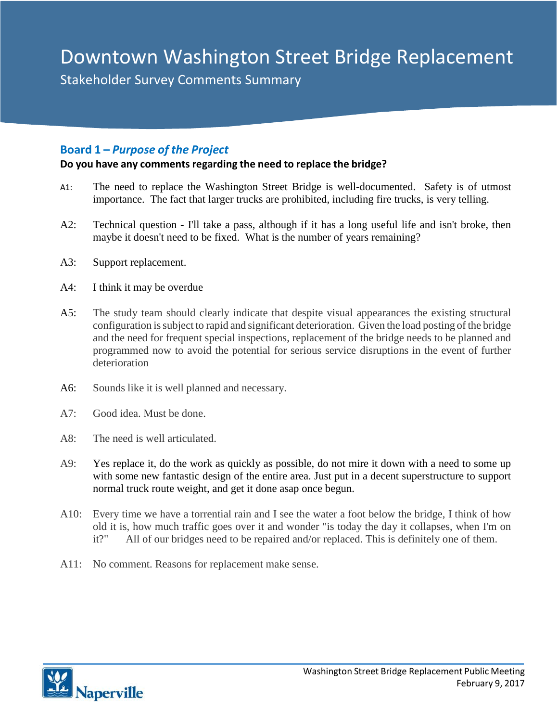# Downtown Washington Street Bridge Replacement

**Downtown Washington Comments Summary**<br>Stakeholder Survey Comments Summary

## **Board 1 –** *Purpose of the Project*

#### **Do you have any commentsregarding the need to replace the bridge?**

- A1: The need to replace the Washington Street Bridge is well-documented. Safety is of utmost importance. The fact that larger trucks are prohibited, including fire trucks, is very telling.
- A2: Technical question I'll take a pass, although if it has a long useful life and isn't broke, then maybe it doesn't need to be fixed. What is the number of years remaining?
- A3: Support replacement.
- A4: I think it may be overdue
- A5: The study team should clearly indicate that despite visual appearances the existing structural configuration is subject to rapid and significant deterioration. Given the load posting of the bridge and the need for frequent special inspections, replacement of the bridge needs to be planned and programmed now to avoid the potential for serious service disruptions in the event of further deterioration
- A6: Sounds like it is well planned and necessary.
- A7: Good idea. Must be done.
- A8: The need is well articulated.
- A9: Yes replace it, do the work as quickly as possible, do not mire it down with a need to some up with some new fantastic design of the entire area. Just put in a decent superstructure to support normal truck route weight, and get it done asap once begun.
- A10: Every time we have a torrential rain and I see the water a foot below the bridge, I think of how old it is, how much traffic goes over it and wonder "is today the day it collapses, when I'm on it?" All of our bridges need to be repaired and/or replaced. This is definitely one of them.
- A11: No comment. Reasons for replacement make sense.

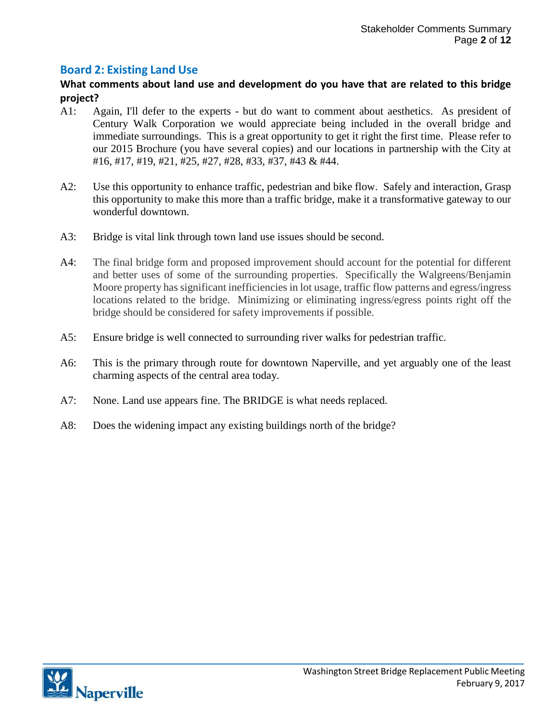# **Board 2: Existing Land Use**

#### **What comments about land use and development do you have that are related to this bridge project?**

- A1: Again, I'll defer to the experts but do want to comment about aesthetics. As president of Century Walk Corporation we would appreciate being included in the overall bridge and immediate surroundings. This is a great opportunity to get it right the first time. Please refer to our 2015 Brochure (you have several copies) and our locations in partnership with the City at #16, #17, #19, #21, #25, #27, #28, #33, #37, #43 & #44.
- A2: Use this opportunity to enhance traffic, pedestrian and bike flow. Safely and interaction, Grasp this opportunity to make this more than a traffic bridge, make it a transformative gateway to our wonderful downtown.
- A3: Bridge is vital link through town land use issues should be second.
- A4: The final bridge form and proposed improvement should account for the potential for different and better uses of some of the surrounding properties. Specifically the Walgreens/Benjamin Moore property has significant inefficiencies in lot usage, traffic flow patterns and egress/ingress locations related to the bridge. Minimizing or eliminating ingress/egress points right off the bridge should be considered for safety improvements if possible.
- A5: Ensure bridge is well connected to surrounding river walks for pedestrian traffic.
- A6: This is the primary through route for downtown Naperville, and yet arguably one of the least charming aspects of the central area today.
- A7: None. Land use appears fine. The BRIDGE is what needs replaced.
- A8: Does the widening impact any existing buildings north of the bridge?

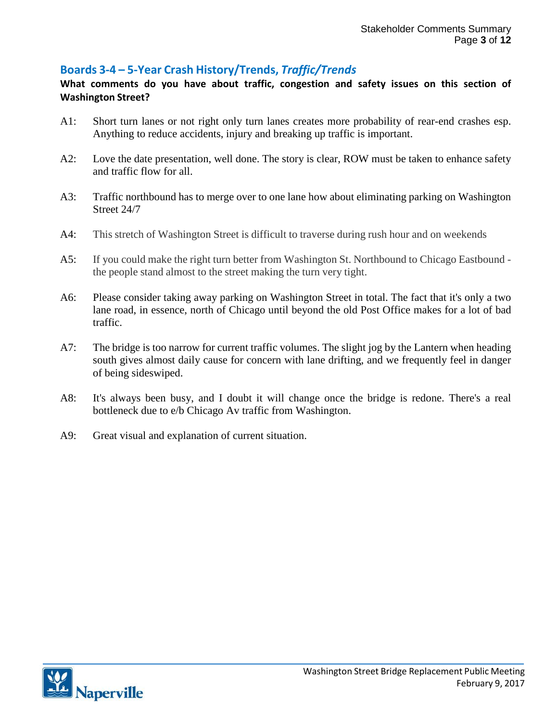# **Boards 3‐4 – 5‐Year Crash History/Trends,** *Traffic/Trends*

### **What comments do you have about traffic, congestion and safety issues on this section of Washington Street?**

- A1: Short turn lanes or not right only turn lanes creates more probability of rear-end crashes esp. Anything to reduce accidents, injury and breaking up traffic is important.
- A2: Love the date presentation, well done. The story is clear, ROW must be taken to enhance safety and traffic flow for all.
- A3: Traffic northbound has to merge over to one lane how about eliminating parking on Washington Street 24/7
- A4: This stretch of Washington Street is difficult to traverse during rush hour and on weekends
- A5: If you could make the right turn better from Washington St. Northbound to Chicago Eastbound the people stand almost to the street making the turn very tight.
- A6: Please consider taking away parking on Washington Street in total. The fact that it's only a two lane road, in essence, north of Chicago until beyond the old Post Office makes for a lot of bad traffic.
- A7: The bridge is too narrow for current traffic volumes. The slight jog by the Lantern when heading south gives almost daily cause for concern with lane drifting, and we frequently feel in danger of being sideswiped.
- A8: It's always been busy, and I doubt it will change once the bridge is redone. There's a real bottleneck due to e/b Chicago Av traffic from Washington.
- A9: Great visual and explanation of current situation.

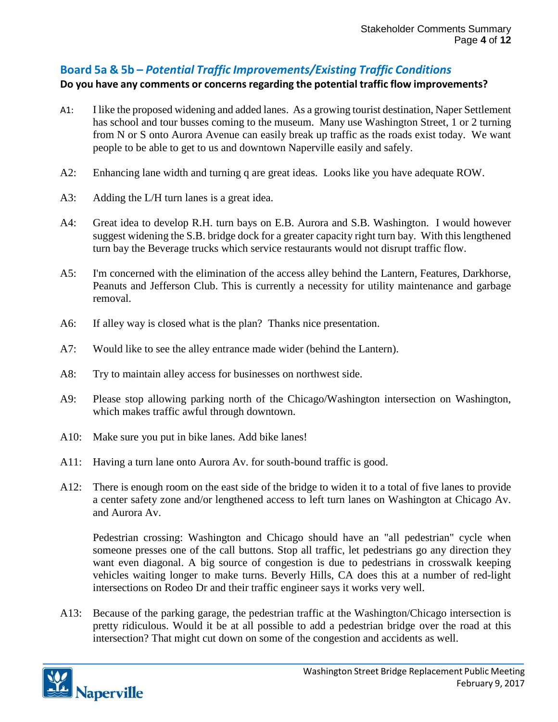# **Board 5a & 5b –** *Potential Traffic Improvements/Existing Traffic Conditions*

### **Do you have any comments or concernsregarding the potential traffic flow improvements?**

- A1: I like the proposed widening and added lanes. As a growing tourist destination, Naper Settlement has school and tour busses coming to the museum. Many use Washington Street, 1 or 2 turning from N or S onto Aurora Avenue can easily break up traffic as the roads exist today. We want people to be able to get to us and downtown Naperville easily and safely.
- A2: Enhancing lane width and turning q are great ideas. Looks like you have adequate ROW.
- A3: Adding the L/H turn lanes is a great idea.
- A4: Great idea to develop R.H. turn bays on E.B. Aurora and S.B. Washington. I would however suggest widening the S.B. bridge dock for a greater capacity right turn bay. With this lengthened turn bay the Beverage trucks which service restaurants would not disrupt traffic flow.
- A5: I'm concerned with the elimination of the access alley behind the Lantern, Features, Darkhorse, Peanuts and Jefferson Club. This is currently a necessity for utility maintenance and garbage removal.
- A6: If alley way is closed what is the plan? Thanks nice presentation.
- A7: Would like to see the alley entrance made wider (behind the Lantern).
- A8: Try to maintain alley access for businesses on northwest side.
- A9: Please stop allowing parking north of the Chicago/Washington intersection on Washington, which makes traffic awful through downtown.
- A10: Make sure you put in bike lanes. Add bike lanes!
- A11: Having a turn lane onto Aurora Av. for south-bound traffic is good.
- A12: There is enough room on the east side of the bridge to widen it to a total of five lanes to provide a center safety zone and/or lengthened access to left turn lanes on Washington at Chicago Av. and Aurora Av.

Pedestrian crossing: Washington and Chicago should have an "all pedestrian" cycle when someone presses one of the call buttons. Stop all traffic, let pedestrians go any direction they want even diagonal. A big source of congestion is due to pedestrians in crosswalk keeping vehicles waiting longer to make turns. Beverly Hills, CA does this at a number of red-light intersections on Rodeo Dr and their traffic engineer says it works very well.

A13: Because of the parking garage, the pedestrian traffic at the Washington/Chicago intersection is pretty ridiculous. Would it be at all possible to add a pedestrian bridge over the road at this intersection? That might cut down on some of the congestion and accidents as well.

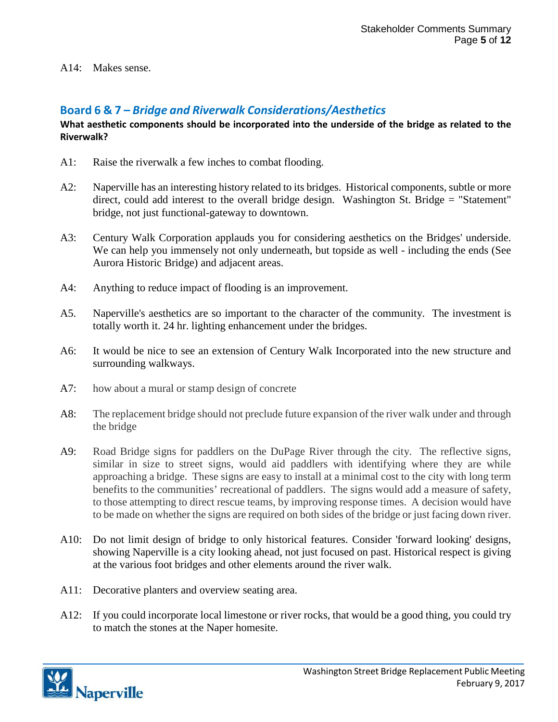#### A14: Makes sense.

# **Board 6 & 7 –** *Bridge and Riverwalk Considerations/Aesthetics*

#### **What aesthetic components should be incorporated into the underside of the bridge as related to the Riverwalk?**

- A1: Raise the riverwalk a few inches to combat flooding.
- A2: Naperville has an interesting history related to its bridges. Historical components, subtle or more direct, could add interest to the overall bridge design. Washington St. Bridge = "Statement" bridge, not just functional-gateway to downtown.
- A3: Century Walk Corporation applauds you for considering aesthetics on the Bridges' underside. We can help you immensely not only underneath, but topside as well - including the ends (See Aurora Historic Bridge) and adjacent areas.
- A4: Anything to reduce impact of flooding is an improvement.
- A5. Naperville's aesthetics are so important to the character of the community. The investment is totally worth it. 24 hr. lighting enhancement under the bridges.
- A6: It would be nice to see an extension of Century Walk Incorporated into the new structure and surrounding walkways.
- A7: how about a mural or stamp design of concrete
- A8: The replacement bridge should not preclude future expansion of the river walk under and through the bridge
- A9: Road Bridge signs for paddlers on the DuPage River through the city. The reflective signs, similar in size to street signs, would aid paddlers with identifying where they are while approaching a bridge. These signs are easy to install at a minimal cost to the city with long term benefits to the communities' recreational of paddlers. The signs would add a measure of safety, to those attempting to direct rescue teams, by improving response times. A decision would have to be made on whether the signs are required on both sides of the bridge or just facing down river.
- A10: Do not limit design of bridge to only historical features. Consider 'forward looking' designs, showing Naperville is a city looking ahead, not just focused on past. Historical respect is giving at the various foot bridges and other elements around the river walk.
- A11: Decorative planters and overview seating area.
- A12: If you could incorporate local limestone or river rocks, that would be a good thing, you could try to match the stones at the Naper homesite.

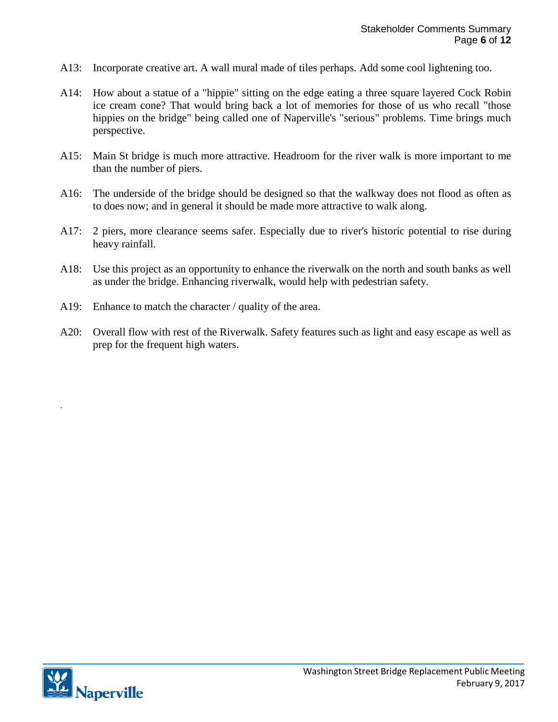- A13: Incorporate creative art. A wall mural made of tiles perhaps. Add some cool lightening too.
- A14: How about a statue of a "hippie" sitting on the edge eating a three square layered Cock Robin ice cream cone? That would bring back a lot of memories for those of us who recall "those hippies on the bridge" being called one of Naperville's "serious" problems. Time brings much perspective.
- A15: Main St bridge is much more attractive. Headroom for the river walk is more important to me than the number of piers.
- A16: The underside of the bridge should be designed so that the walkway does not flood as often as to does now; and in general it should be made more attractive to walk along.
- A17: 2 piers, more clearance seems safer. Especially due to river's historic potential to rise during heavy rainfall.
- A18: Use this project as an opportunity to enhance the riverwalk on the north and south banks as well as under the bridge. Enhancing riverwalk, would help with pedestrian safety.
- A19: Enhance to match the character / quality of the area.
- A20: Overall flow with rest of the Riverwalk. Safety features such as light and easy escape as well as prep for the frequent high waters.



.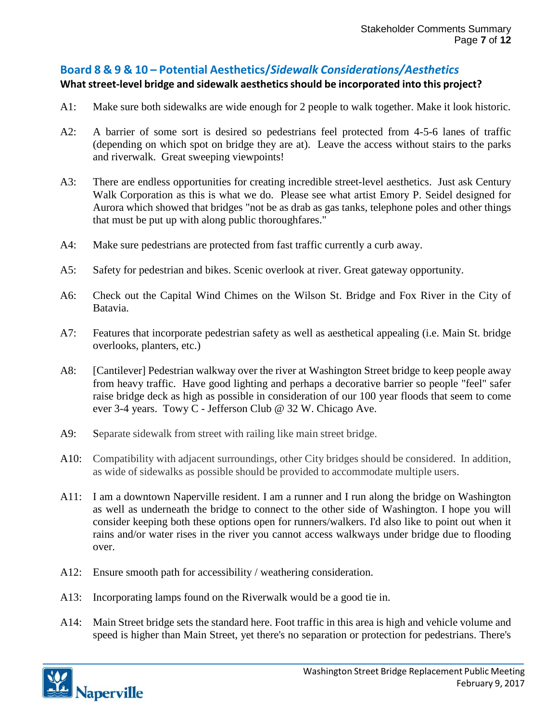# **Board 8 & 9 & 10 – Potential Aesthetics/***Sidewalk Considerations/Aesthetics*

## **What street‐level bridge and sidewalk aestheticsshould be incorporated into this project?**

- A1: Make sure both sidewalks are wide enough for 2 people to walk together. Make it look historic.
- A2: A barrier of some sort is desired so pedestrians feel protected from 4-5-6 lanes of traffic (depending on which spot on bridge they are at). Leave the access without stairs to the parks and riverwalk. Great sweeping viewpoints!
- A3: There are endless opportunities for creating incredible street-level aesthetics. Just ask Century Walk Corporation as this is what we do. Please see what artist Emory P. Seidel designed for Aurora which showed that bridges "not be as drab as gas tanks, telephone poles and other things that must be put up with along public thoroughfares."
- A4: Make sure pedestrians are protected from fast traffic currently a curb away.
- A5: Safety for pedestrian and bikes. Scenic overlook at river. Great gateway opportunity.
- A6: Check out the Capital Wind Chimes on the Wilson St. Bridge and Fox River in the City of Batavia.
- A7: Features that incorporate pedestrian safety as well as aesthetical appealing (i.e. Main St. bridge overlooks, planters, etc.)
- A8: [Cantilever] Pedestrian walkway over the river at Washington Street bridge to keep people away from heavy traffic. Have good lighting and perhaps a decorative barrier so people "feel" safer raise bridge deck as high as possible in consideration of our 100 year floods that seem to come ever 3-4 years. Towy C - Jefferson Club @ 32 W. Chicago Ave.
- A9: Separate sidewalk from street with railing like main street bridge.
- A10: Compatibility with adjacent surroundings, other City bridges should be considered. In addition, as wide of sidewalks as possible should be provided to accommodate multiple users.
- A11: I am a downtown Naperville resident. I am a runner and I run along the bridge on Washington as well as underneath the bridge to connect to the other side of Washington. I hope you will consider keeping both these options open for runners/walkers. I'd also like to point out when it rains and/or water rises in the river you cannot access walkways under bridge due to flooding over.
- A12: Ensure smooth path for accessibility / weathering consideration.
- A13: Incorporating lamps found on the Riverwalk would be a good tie in.
- A14: Main Street bridge sets the standard here. Foot traffic in this area is high and vehicle volume and speed is higher than Main Street, yet there's no separation or protection for pedestrians. There's

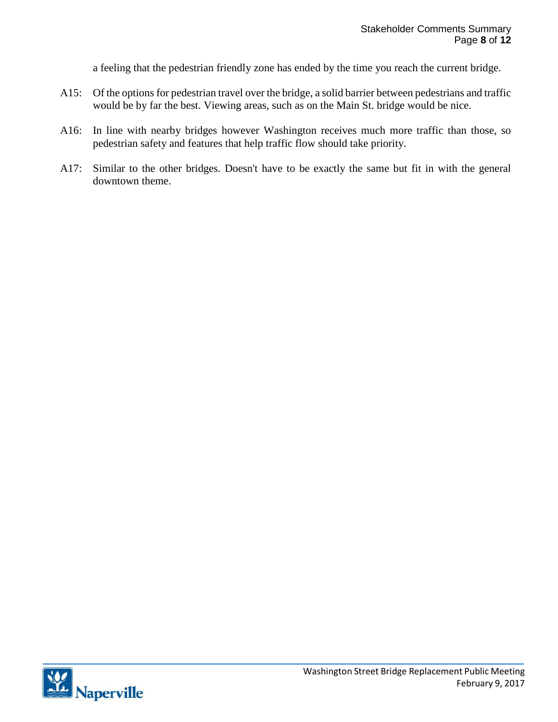a feeling that the pedestrian friendly zone has ended by the time you reach the current bridge.

- A15: Of the options for pedestrian travel over the bridge, a solid barrier between pedestrians and traffic would be by far the best. Viewing areas, such as on the Main St. bridge would be nice.
- A16: In line with nearby bridges however Washington receives much more traffic than those, so pedestrian safety and features that help traffic flow should take priority.
- A17: Similar to the other bridges. Doesn't have to be exactly the same but fit in with the general downtown theme.

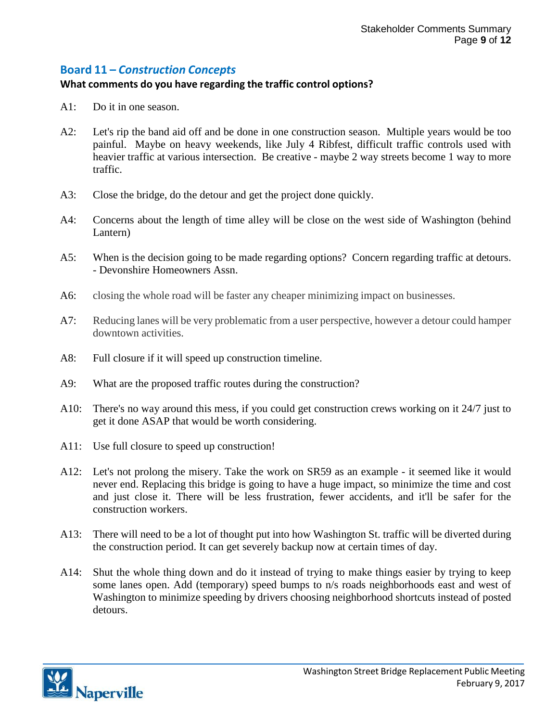## **Board 11 –** *Construction Concepts*

#### **What comments do you have regarding the traffic control options?**

- A1: Do it in one season.
- A2: Let's rip the band aid off and be done in one construction season. Multiple years would be too painful. Maybe on heavy weekends, like July 4 Ribfest, difficult traffic controls used with heavier traffic at various intersection. Be creative - maybe 2 way streets become 1 way to more traffic.
- A3: Close the bridge, do the detour and get the project done quickly.
- A4: Concerns about the length of time alley will be close on the west side of Washington (behind Lantern)
- A5: When is the decision going to be made regarding options? Concern regarding traffic at detours. - Devonshire Homeowners Assn.
- A6: closing the whole road will be faster any cheaper minimizing impact on businesses.
- A7: Reducing lanes will be very problematic from a user perspective, however a detour could hamper downtown activities.
- A8: Full closure if it will speed up construction timeline.
- A9: What are the proposed traffic routes during the construction?
- A10: There's no way around this mess, if you could get construction crews working on it 24/7 just to get it done ASAP that would be worth considering.
- A11: Use full closure to speed up construction!
- A12: Let's not prolong the misery. Take the work on SR59 as an example it seemed like it would never end. Replacing this bridge is going to have a huge impact, so minimize the time and cost and just close it. There will be less frustration, fewer accidents, and it'll be safer for the construction workers.
- A13: There will need to be a lot of thought put into how Washington St. traffic will be diverted during the construction period. It can get severely backup now at certain times of day.
- A14: Shut the whole thing down and do it instead of trying to make things easier by trying to keep some lanes open. Add (temporary) speed bumps to n/s roads neighborhoods east and west of Washington to minimize speeding by drivers choosing neighborhood shortcuts instead of posted detours.

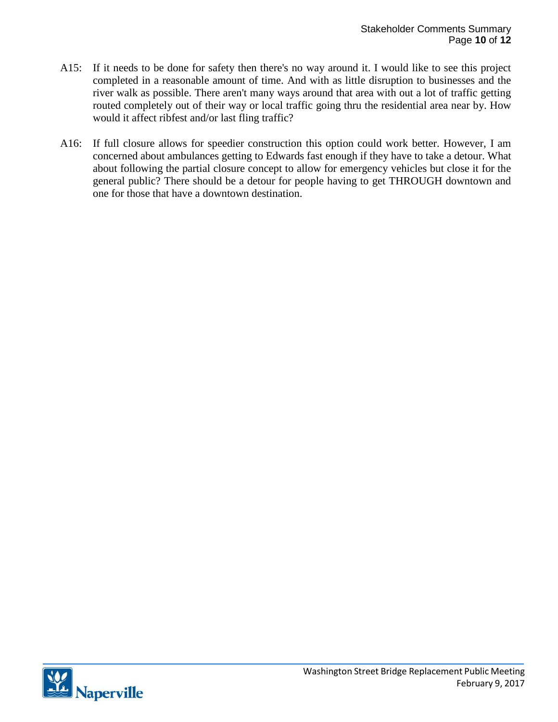- A15: If it needs to be done for safety then there's no way around it. I would like to see this project completed in a reasonable amount of time. And with as little disruption to businesses and the river walk as possible. There aren't many ways around that area with out a lot of traffic getting routed completely out of their way or local traffic going thru the residential area near by. How would it affect ribfest and/or last fling traffic?
- A16: If full closure allows for speedier construction this option could work better. However, I am concerned about ambulances getting to Edwards fast enough if they have to take a detour. What about following the partial closure concept to allow for emergency vehicles but close it for the general public? There should be a detour for people having to get THROUGH downtown and one for those that have a downtown destination.

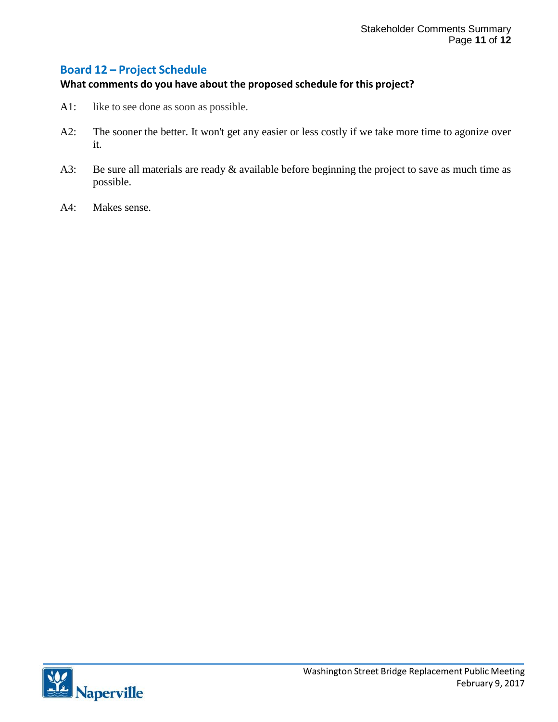## **Board 12 – Project Schedule**

#### **What comments do you have about the proposed schedule for this project?**

- A1: like to see done as soon as possible.
- A2: The sooner the better. It won't get any easier or less costly if we take more time to agonize over it.
- A3: Be sure all materials are ready & available before beginning the project to save as much time as possible.
- A4: Makes sense.